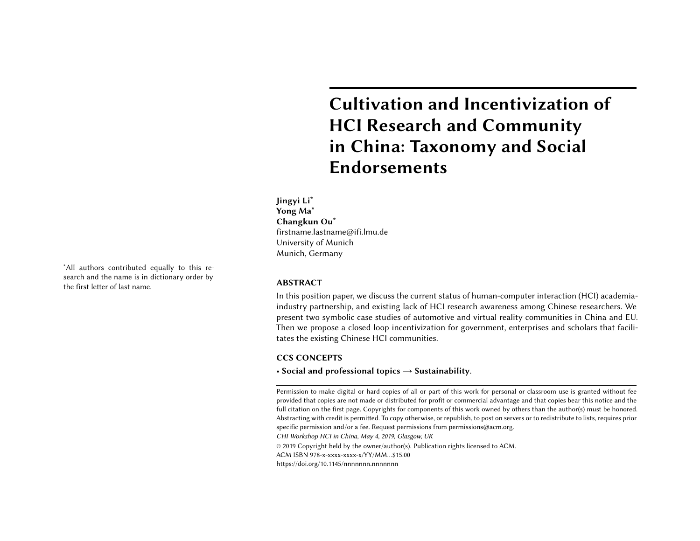# **Cultivation and Incentiviz HCI Research and Commun** in China: Taxonomy and **S Endorsements**

**Jingyi Li∗ Yong Ma∗ Changkun Ou∗** firstname.lastname@ifi.lmu.de University of Munich Munich, Germany

In this position paper, we discuss the current status of human-computer in [industry partnership, and existing](https://doi.org/10.1145/nnnnnnn.nnnnnnn) lack of HCI research awareness amon present two symbolic case studies of automotive and virtual reality com Then we propose a closed loop incentivization for government, enterpris tates the existing Chinese HCI communities.

## **CCS CONCEPTS**

• **Social and professional topics** → **Sustainability**.

Permission to make digital or hard copies of all or part of this work for personal or class provided that copies are not made or distributed for profit or commercial advantage and th full citation on the first page. Copyrights for components of this work owned by others tha Abstracting with credit is permitted. To copy otherwise, or republish, to post on servers or to specific permission and/or a fee. Request permissions from permissions@acm.org. CHI Workshop HCI in China, May 4, 2019, Glasgow, UK

© 2019 Copyright held by the owner/author(s). Publication rights licensed to ACM. ACM ISBN 978-x-xxxx-xxxx-x/YY/MM…\$15.00

https://doi.org/10.1145/nnnnnnn.nnnnnnn

<sup>∗</sup>All authors contributed equally to this research and the name is in dictionary order by the first letter of last name. **ABSTRACT**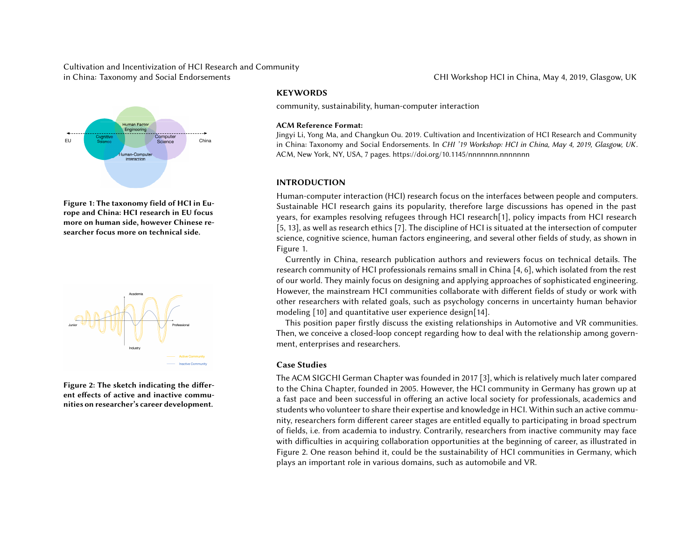

**Figure 1: The taxonomy field of HCI in Europe and China: HCI research in EU focus more on human side, however Chinese researcher focus more on technical side.**



**Figure 2: The sketch indicating the different effects of active and inactive communities on researcher's career development.**

# <span id="page-1-0"></span>**KEY[WO](#page-1-0)RDS**

community, sustainability, human-computer interaction

#### **ACM Reference Format:**

Jingyi Li, Yong Ma, and Changkun Ou. 2019. Cultivation and Incentivization of H in China: Taxonomy and Social Endorsements. In CHI '19 Workshop: HCI in Chi ACM, New [Yor](#page-5-2)k, NY, USA, 7 pages. https://doi.org/10.1145/n[nnn](#page-5-3)nnn.nnnnnnn

### **INTRODUCTION**

<span id="page-1-1"></span>Human-computer interaction (HCI) research focus on the interfaces betw Sustainable HCI research gains its popularity, therefore large discussion ye[ar](#page-5-4)s, for examples resolving refugees through HCI research[1], policy i  $[5, 13]$ , as well as research ethics  $[7]$ . The discipline of HCI is situated at the science, cognitive science, human factors engineering, and several other f Figure 1.

Currently in China, research publication authors and reviewers focus research community of HCI professionals remains small in China [4, 6], w of our world. They mainly focus on designing and applying approaches of Howev[er](#page-1-1), the mainstream HCI communities collaborate with different fie other researchers with related goals, such as psychology concerns in un modeling [10] and quantitative user experience design[14].

This position paper firstly discuss the existing relationships in Automotic Then, we conceive a closed-loop concept regarding how to deal with the r ment, enterprises and researchers.

#### **Case Studies**

The ACM SIGCHI German Chapter was founded in 2017 [3], which is relat to the China Chapter, founded in 2005. However, the HCI community in a fast pace and been successful in offering an active local society for pro students who volunteer to share their expertise and knowledge in HCI. With nity, researchers form different career stages are entitled equally to partion of fields, i.e. from academia to industry. Contrarily, researchers from ina with difficulties in acquiring collaboration opportunities at the beginning Figure 2. One reason behind it, could be the sustainability of HCI comm plays an important role in various domains, such as automobile and VR.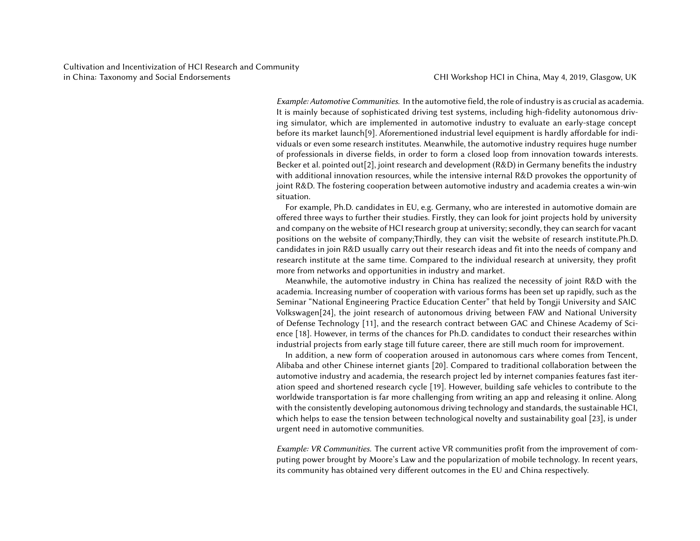Example: Automotive Communities. In the automotive field, the role of indu It is mainly because of sophisticated driving test systems, including highing simulator, which are implemented in automotive industry to evaluation before its market launch<sup>[9]</sup>. Aforementioned industrial level equipment is viduals or even some research institutes. Meanwhile, the automotive indu of professio[nals](#page-6-0) in diverse fields, in order to form a closed loop from inn Becker et al. pointed out[\[2\]](#page-5-5), joint research and development (R&D) in Ger with [add](#page-6-1)itional innovation resources, while the intensive internal R&D p joint R&D. The fostering cooperation between automotive industry and a situation.

For example, Ph.D. candidates in EU, e.g. [Ge](#page-6-2)rmany, who are interested offered three ways to further their studies. Firstly, they can look for joint and company on the website of HCI researc[h g](#page-6-3)roup at university; secondly positions on the website of company;Thirdly, they can visit the website candidates in join R&D usually carry out their research ideas and fit into research institute at the same time. Compared to the individual researc more from networks and opportunities in industry and market.

Meanwhile, the automotive industry in China has realized the necesse academia. Increasing number of cooperation with various forms has been Seminar "National Engineering Practice Education Center" that held by T Volkswagen[24], the joint research of autonomous driving between FAV of Defense Technology [11], and the research contract between GAC and ence [18]. However, in terms of the chances for Ph.D. candidates to cond industrial projects from early stage till future career, there are still much

In addition, a new form of cooperation aroused in autonomous cars v Alibaba and other Chinese internet giants [20]. Compared to traditional automotive industry and academia, the research project led by internet compation ation speed and shortened research cycle [19]. However, building safe ve worldwide transportation is far more challenging from writing an app an with the consistently developing autonomous driving technology and stan which helps to ease the tension between technological novelty and sustai urgent need in automotive communities.

Example: VR Communities. The current active VR communities profit fron puting power brought by Moore's Law and the popularization of mobile t its community has obtained very different outcomes in the EU and China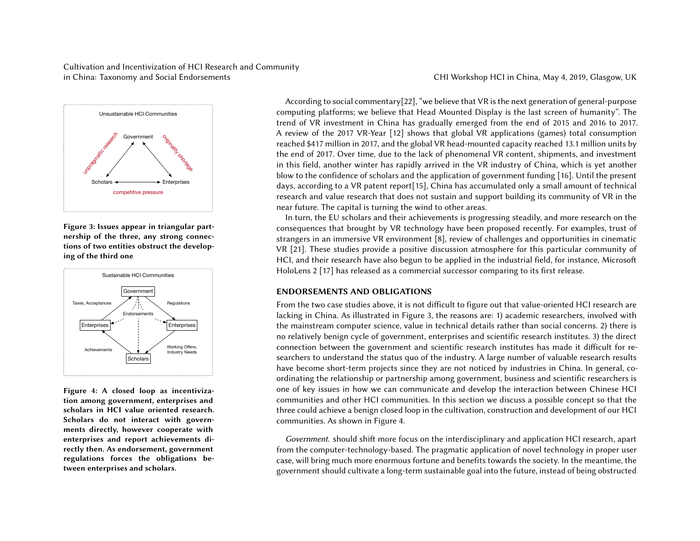

**Figure 3: Issues appear in triangular partnership of the three, any strong connections of two entities obstruct the developing of the third one**



**Figure 4: A closed loop as incentivization among government, enterprises and scholars in HCI value oriented research. Scholars do not interact with governments directly, however cooperate with enterprises and report achievements directly then. As endorsement, government regulations forces the obligations between enterprises and scholars.**

<span id="page-3-1"></span><span id="page-3-0"></span>According to social commentary[22], "we believe that VR is the next gen computing [plat](#page-6-5)forms; we believe that Head Mounted Display is the last trend of VR investment in China has gradually emerged from the end A review of the 2017 VR-Year  $[12]$  shows that global VR applications ( reached \$417 million in 2017, and the global VR head-mounted capacity re the end of 2017. Over time, due to the la[ck](#page-3-0) of phenomenal VR content, s in this field, another winter has rapidly arrived in the VR industry of C blow to the confidence of scholars and the application of government fund days, according to a VR patent report[15], China has accumulated only a research and value research that does not sustain and support building it near future. The capital is turning the wind to other areas.

In turn, the EU scholars and their achievements is progressing steadily consequences that brought by VR technology have been proposed recer strangers in an immersive VR environment [8], review of challenges and VR [21]. These studies provide a positive discussion atmosphere for thi HCI, and their research have also [b](#page-3-1)egun to be applied in the industrial field,  $\overline{\phantom{a}}$ HoloLens 2 [17] has released as a commercial successor comparing to its

### **ENDORSEMENTS AND OBLIGATIONS**

From the two case studies above, it is not difficult to figure out that value lacking in China. As illustrated in Figure 3, the reasons are: 1) academic the mainstream computer science, value in technical details rather than no relatively benign cycle of government, enterprises and scientific resea connection between the government and scientific research institutes has searchers to understand the status quo of the industry. A large number of have become short-term projects since they are not noticed by industrie ordinating the relationship or partnership among government, business a one of key issues in how we can communicate and develop the interact communities and other HCI communities. In this section we discuss a possible 2 three could achieve a benign closed loop in the cultivation, construction and there ould communities. As shown in Figure 4.

Government. should shift more focus on the interdisciplinary and appli from the computer-technology-based. The pragmatic application of novel case, will bring much more enormous fortune and benefits towards the so government should cultivate a long-term sustainable goal into the future, i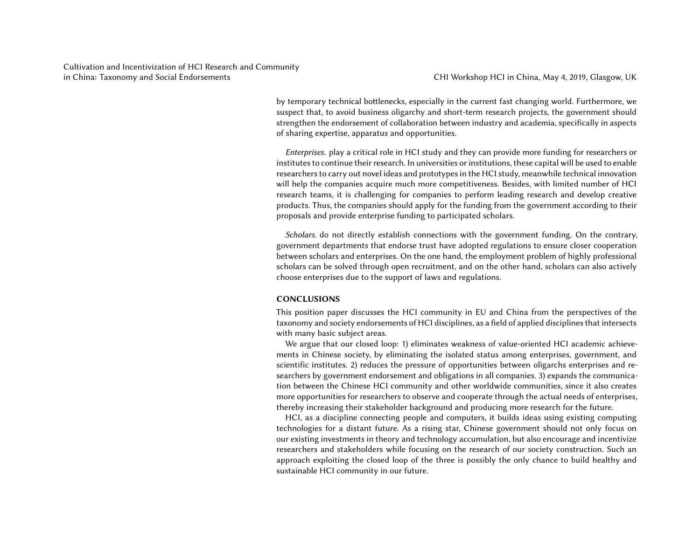by temporary technical bottlenecks, especially in the current fast changing world. Furthermore, we suspect that, to avoid business oligarchy and short-term research projects, the government should strengthen the endorsement of collaboration between industry and academia, specifically in aspects of sharing expertise, apparatus and opportunities.

Enterprises. play a critical role in HCI study and they can provide more funding for researchers or institutes to continue their research. In universities or institutions, these capital will be used to enable researchers to carry out novel ideas and prototypes in the HCI study, meanwhile technical innovation will help the companies acquire much more competitiveness. Besides, with limited number of HCI research teams, it is challenging for companies to perform leading research and develop creative products. Thus, the companies should apply for the funding from the government according to their proposals and provide enterprise funding to participated scholars.

Scholars. do not directly establish connections with the government funding. On the contrary, government departments that endorse trust have adopted regulations to ensure closer cooperation between scholars and enterprises. On the one hand, the employment problem of highly professional scholars can be solved through open recruitment, and on the other hand, scholars can also actively choose enterprises due to the support of laws and regulations.

### **CONCLUSIONS**

This position paper discusses the HCI community in EU and China from the perspectives of the taxonomy and society endorsements of HCI disciplines, as a field of applied disciplines that intersects with many basic subject areas.

We argue that our closed loop: 1) eliminates weakness of value-oriented HCI academic achievements in Chinese society, by eliminating the isolated status among enterprises, government, and scientific institutes. 2) reduces the pressure of opportunities between oligarchs enterprises and researchers by government endorsement and obligations in all companies. 3) expands the communication between the Chinese HCI community and other worldwide communities, since it also creates more opportunities for researchers to observe and cooperate through the actual needs of enterprises, thereby increasing their stakeholder background and producing more research for the future.

HCI, as a discipline connecting people and computers, it builds ideas using existing computing technologies for a distant future. As a rising star, Chinese government should not only focus on our existing investments in theory and technology accumulation, but also encourage and incentivize researchers and stakeholders while focusing on the research of our society construction. Such an approach exploiting the closed loop of the three is possibly the only chance to build healthy and sustainable HCI community in our future.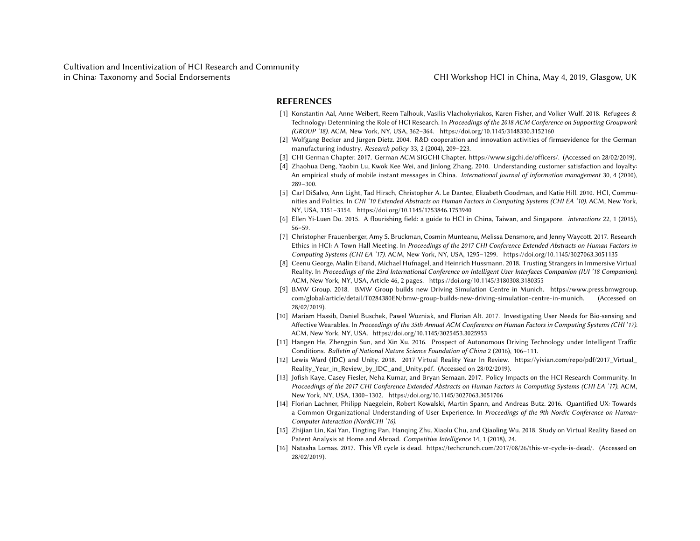### <span id="page-5-6"></span><span id="page-5-4"></span><span id="page-5-0"></span>**REFERENCES**

- [1] Konstantin Aal, Anne Weibert, Reem Talhouk, Vasilis Vlachokyriakos, Karen Fisher, ar Technology: Determining the Role of HCI Research. In Proceedings of the 2018 ACM Con (GROUP '18). ACM, New York, NY, USA, 362-364. https://doi.org/10.1145/3148330.315
- [2] Wolfgang Becker and Jürgen Dietz. 2004. R&D cooperation and innovation activities manufacturing industry. Research policy 33, 2 (2004), 209–223.
- <span id="page-5-2"></span>[3] CHI German Chapter. 2017. German ACM SIGCHI Chapter. https://www.sigchi.de/of
- [4] Zhaohua Deng, Yaobin Lu, Kwok Kee Wei, and Jinlong Zhang. 2010. Understanding c An empirical study of mobi[le instant messages in China.](https://doi.org/10.1145/3025453.3025953) International journal of info 289–300.
- <span id="page-5-5"></span>[5] Carl DiSalvo, Ann Light, Tad Hirsch, Christopher A. Le Dantec, Elizabeth Goodman, an nities and Politics. In CHI '10 Extended Abstracts on Human Factors in Computing Syste NY, USA, 3151–3154. [https://doi.org/10.1145/175](https://yivian.com/repo/pdf/2017_Virtual_Reality_Year_in_Review_by_IDC_and_Unity.pdf)3846.1753940
- <span id="page-5-1"></span>[6] Ellen Yi-Luen Do. 2015. A flourishing field: a guide to HCI in China, Taiwan, and Sir 56–59.
- <span id="page-5-3"></span>[7] Christopher Frauenberger, Amy S[. Bruckman, Cosmin Munteanu, Melissa](https://doi.org/10.1145/3027063.3051706) Densmore, a Ethics in HCI: A Town Hall Meeting. In Proceedings of the 2017 CHI Conference Extend Computing Systems (CHI EA '17). ACM, New York, NY, USA, 1295-1299. https://doi.or
- [8] Ceenu George, Malin Eiband, Michael Hufnagel, and Heinrich Hussmann. 2018. Trusti Reality. In Proceedings of the 23rd International Conference on Intelligent User Interface. ACM, New York, NY, USA, Article 46, 2 pages. https://doi.org/10.1145/3180308.3180355
- [9] BMW Group. 2018. BMW Group builds new Driving Simulation Centre in Municl com/global/article/detail/T0284380EN/bmw-group-builds-new-driving-simulation-cer 28/02/2019).
- [10] Mariam Hassib, Daniel Buschek, Pawel Wozniak, and Florian Alt. 2017. Investigating Affective Wearables. In Proceedings of the 35th Annual ACM Conference on Human Facto ACM, New York, NY, USA. https://doi.org/10.1145/3025453.3025953
- [11] Hangen He, Zhengpin Sun, and Xin Xu. 2016. Prospect of Autonomous Driving Tec Conditions. Bulletin of National Nature Science Foundation of China 2 (2016), 106–111.
- [12] Lewis Ward (IDC) and Unity. 2018. 2017 Virtual Reality Year In Review. https://yi Reality\_Year\_in\_Review\_by\_IDC\_and\_Unity.pdf. (Accessed on 28/02/2019).
- [13] Jofish Kaye, Casey Fiesler, Neha Kumar, and Bryan Semaan. 2017. Policy Impacts on the HCI Research Community. In HCI Research Community. In HCI Research Community. In HCI Research Community. In HCI Research Community. Proceedings of the 2017 CHI Conference Extended Abstracts on Human Factors in Comp New York, NY, USA, 1300–1302. https://doi.org/10.1145/3027063.3051706
- [14] Florian Lachner, Philipp Naegelein, Robert Kowalski, Martin Spann, and Andreas But a Common Organizational Understanding of User Experience. In Proceedings of the Computer Interaction (NordiCHI '16).
- [15] Zhijian Lin, Kai Yan, Tingting Pan, Hanqing Zhu, Xiaolu Chu, and Qiaoling Wu. 2018. S Patent Analysis at Home and Abroad. Competitive Intelligence 14, 1 (2018), 24.
- [16] Natasha Lomas. 2017. This VR cycle is dead. https://techcrunch.com/2017/08/26/this 28/02/2019).